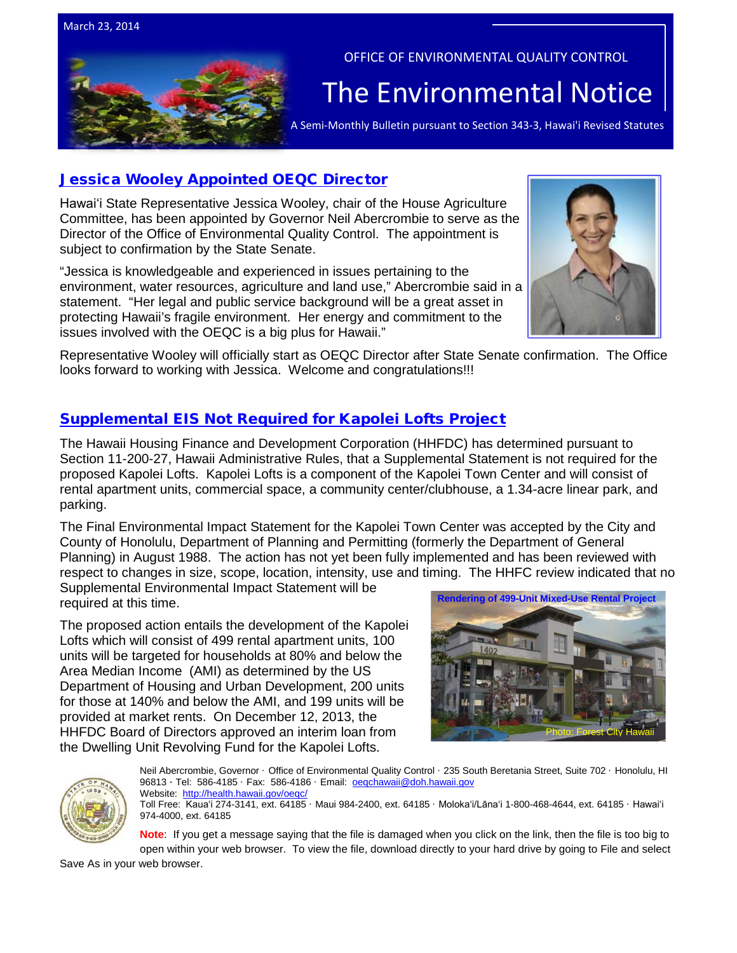

## OFFICE OF ENVIRONMENTAL QUALITY CONTROL

# The  $\overline{\mathsf{Environmental Notice}}$   $|$

## [Jessica Wooley Appointed OEQC Director](http://governor.hawaii.gov/blog/governor-names-jessica-wooley-as-director-of-the-office-of-environmental-quality-control/)

Hawaiʻi State Representative Jessica Wooley, chair of the House Agriculture Committee, has been appointed by Governor Neil Abercrombie to serve as the Director of the Office of Environmental Quality Control. The appointment is subject to confirmation by the State Senate.

"Jessica is knowledgeable and experienced in issues pertaining to the environment, water resources, agriculture and land use," Abercrombie said in a statement. "Her legal and public service background will be a great asset in protecting Hawaii's fragile environment. Her energy and commitment to the issues involved with the OEQC is a big plus for Hawaii."



Representative Wooley will officially start as OEQC Director after State Senate confirmation. The Office looks forward to working with Jessica. Welcome and congratulations!!!

## [Supplemental EIS Not Required for Kapolei Lofts Project](http://oeqc.doh.hawaii.gov/Shared%20Documents/EA_and_EIS_Online_Library/OTHER%20CHAPTER%20343%20NOTICES/2014-03-23-HAR-11-200-27-Kapolei-Lofts-Affordable-Housing.pdf)

The Hawaii Housing Finance and Development Corporation (HHFDC) has determined pursuant to Section 11-200-27, Hawaii Administrative Rules, that a Supplemental Statement is not required for the proposed Kapolei Lofts. Kapolei Lofts is a component of the Kapolei Town Center and will consist of rental apartment units, commercial space, a community center/clubhouse, a 1.34-acre linear park, and parking.

The Final Environmental Impact Statement for the Kapolei Town Center was accepted by the City and County of Honolulu, Department of Planning and Permitting (formerly the Department of General Planning) in August 1988. The action has not yet been fully implemented and has been reviewed with respect to changes in size, scope, location, intensity, use and timing. The HHFC review indicated that no

Supplemental Environmental Impact Statement will be required at this time.

The proposed action entails the development of the Kapolei Lofts which will consist of 499 rental apartment units, 100 units will be targeted for households at 80% and below the Area Median Income (AMI) as determined by the US Department of Housing and Urban Development, 200 units for those at 140% and below the AMI, and 199 units will be provided at market rents. On December 12, 2013, the HHFDC Board of Directors approved an interim loan from the Dwelling Unit Revolving Fund for the Kapolei Lofts.





Neil Abercrombie, Governor · Office of Environmental Quality Control · 235 South Beretania Street, Suite 702 · Honolulu, HI 96813 ∙ Tel: 586-4185 · Fax: 586-4186 · Email: [oeqchawaii@doh.hawaii.gov](mailto:oeqchawaii@doh.hawaii.gov)  Website: <http://health.hawaii.gov/oeqc/>

Toll Free: Kauaʻi 274-3141, ext. 64185 · Maui 984-2400, ext. 64185 · Molokaʻi/Lānaʻi 1-800-468-4644, ext. 64185 · Hawaiʻi 974-4000, ext. 64185

**Note**: If you get a message saying that the file is damaged when you click on the link, then the file is too big to open within your web browser. To view the file, download directly to your hard drive by going to File and select

Save As in your web browser.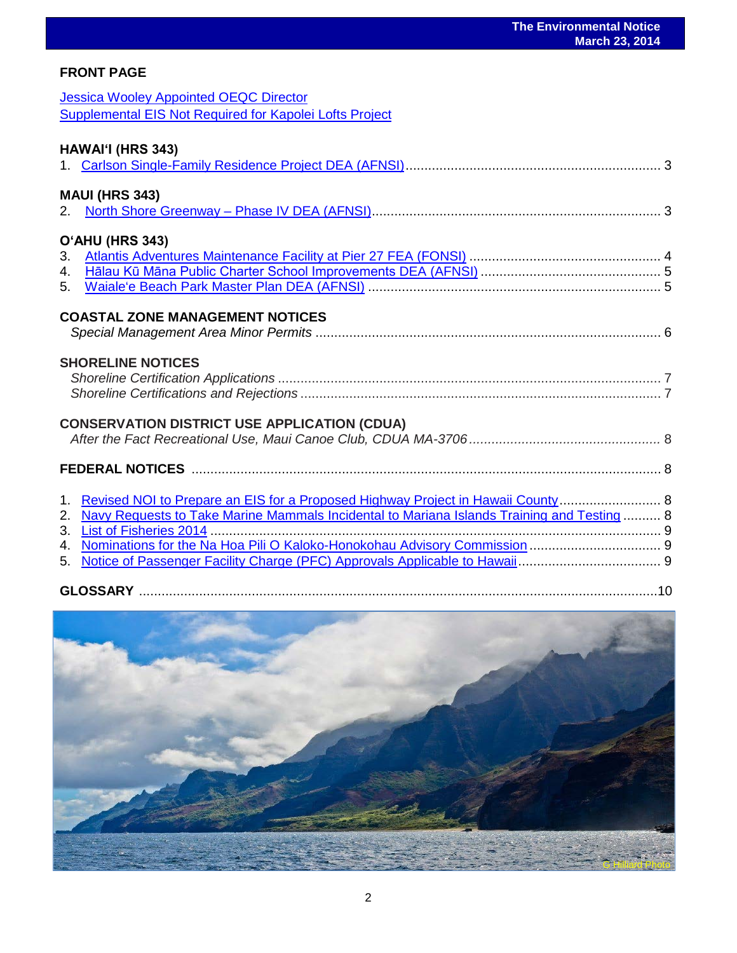## **FRONT PAGE**

| <b>Jessica Wooley Appointed OEQC Director</b>           |
|---------------------------------------------------------|
| Supplemental EIS Not Required for Kapolei Lofts Project |

| <b>HAWAI'I (HRS 343)</b>                                                                      |  |
|-----------------------------------------------------------------------------------------------|--|
| <b>MAUI (HRS 343)</b>                                                                         |  |
| O'AHU (HRS 343)                                                                               |  |
|                                                                                               |  |
| 5.                                                                                            |  |
| <b>COASTAL ZONE MANAGEMENT NOTICES</b>                                                        |  |
| <b>SHORELINE NOTICES</b>                                                                      |  |
| <b>CONSERVATION DISTRICT USE APPLICATION (CDUA)</b>                                           |  |
|                                                                                               |  |
| 1. Revised NOI to Prepare an EIS for a Proposed Highway Project in Hawaii County  8           |  |
| 2. Navy Requests to Take Marine Mammals Incidental to Mariana Islands Training and Testing  8 |  |
|                                                                                               |  |
|                                                                                               |  |
|                                                                                               |  |

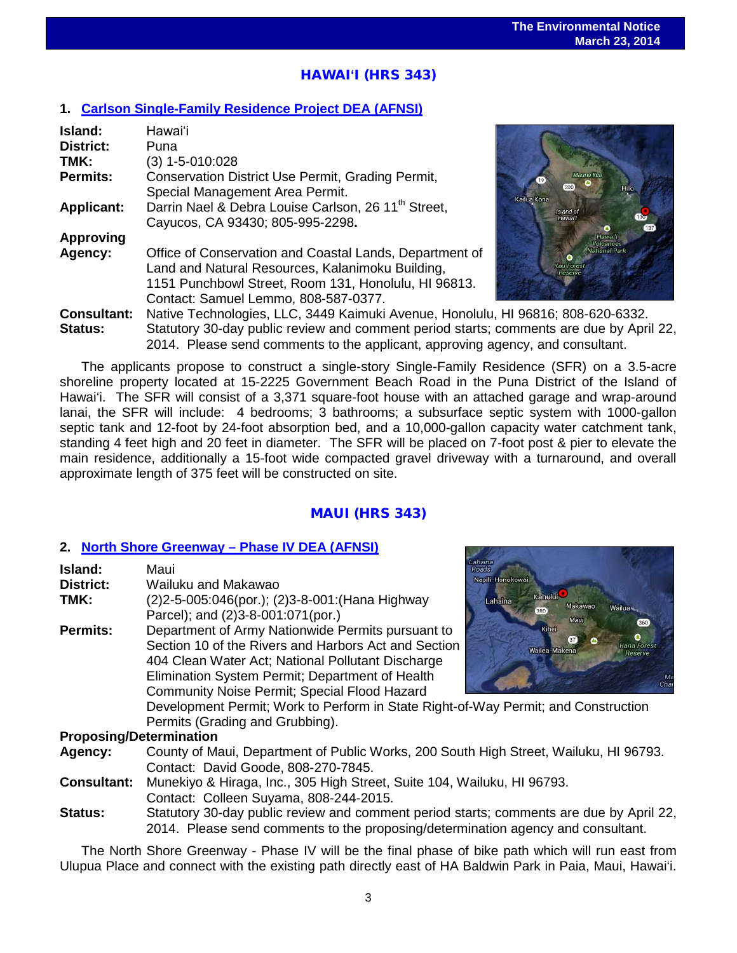## <u>י</u> HAWAI**ʻ**I (HRS 343)

## **1. [Carlson Single-Family Residence Project](http://oeqc.doh.hawaii.gov/Shared%20Documents/EA_and_EIS_Online_Library/Hawaii/2010s/2014-03-23-HA-5E-DEA-Carlson-Single-Family-Residence.pdf) DEA (AFNSI)**

| Island:            | Hawai'i                                                         |
|--------------------|-----------------------------------------------------------------|
| <b>District:</b>   | Puna                                                            |
| TMK:               | $(3)$ 1-5-010:028                                               |
| <b>Permits:</b>    | Conservation District Use Permit, Grading Permit,               |
|                    | Special Management Area Permit.                                 |
| <b>Applicant:</b>  | Darrin Nael & Debra Louise Carlson, 26 11 <sup>th</sup> Street, |
|                    | Cayucos, CA 93430; 805-995-2298.                                |
| <b>Approving</b>   |                                                                 |
| Agency:            | Office of Conservation and Coastal Lands, Department of         |
|                    | Land and Natural Resources, Kalanimoku Building,                |
|                    | 1151 Punchbowl Street, Room 131, Honolulu, HI 96813.            |
|                    | Contact: Samuel Lemmo, 808-587-0377.                            |
| <b>Consultant:</b> | Native Technologies, LLC, 3449 Kaimuki Avenue, Honolul          |
| Status:            | Statutory 30-day public review and comment period starts        |
|                    |                                                                 |



**Consultant:** Native Technologies, LLC, 3449 Kaimuki Avenue, Honolulu, HI 96816; 808-620-6332. ts; comments are due by April 22, 2014. Please send comments to the applicant, approving agency, and consultant.

The applicants propose to construct a single-story Single-Family Residence (SFR) on a 3.5-acre shoreline property located at 15-2225 Government Beach Road in the Puna District of the Island of Hawai'i. The SFR will consist of a 3,371 square-foot house with an attached garage and wrap-around lanai, the SFR will include: 4 bedrooms; 3 bathrooms; a subsurface septic system with 1000-gallon septic tank and 12-foot by 24-foot absorption bed, and a 10,000-gallon capacity water catchment tank, standing 4 feet high and 20 feet in diameter. The SFR will be placed on 7-foot post & pier to elevate the main residence, additionally a 15-foot wide compacted gravel driveway with a turnaround, and overall approximate length of 375 feet will be constructed on site.

## MAUI (HRS 343)

## **2. [North Shore Greenway –](http://oeqc.doh.hawaii.gov/Shared%20Documents/EA_and_EIS_Online_Library/Maui/2010s/2014-03-23-MA-5B-DEA-North-Shore-Greenway-Phase-IV.pdf) Phase IV DEA (AFNSI)**

| Island:         | Maui                                                                 | Lahaina<br>Roads |            |
|-----------------|----------------------------------------------------------------------|------------------|------------|
| District:       | Wailuku and Makawao                                                  | Napili-Honokowai |            |
| TMK:            | (2) 2-5-005:046(por.); (2) 3-8-001: (Hana Highway                    | Lahaina          | Kahului    |
|                 | Parcel); and (2)3-8-001:071(por.)                                    |                  | 380        |
| <b>Permits:</b> | Department of Army Nationwide Permits pursuant to                    |                  | Kihei      |
|                 | Section 10 of the Rivers and Harbors Act and Section                 |                  | Wailea-Mak |
|                 | 404 Clean Water Act; National Pollutant Discharge                    |                  |            |
|                 | Elimination System Permit; Department of Health                      |                  |            |
|                 | Community Noise Permit; Special Flood Hazard                         |                  |            |
|                 | Development Permit; Work to Perform in State Right-of-Way Permit; an |                  |            |
|                 | Permits (Grading and Grubbing).                                      |                  |            |
|                 | <b>Proposing/Determination</b>                                       |                  |            |



d Construction

#### **Proposing/Determination**

**Agency:** County of Maui, Department of Public Works, 200 South High Street, Wailuku, HI 96793. Contact: David Goode, 808-270-7845.

- **Consultant:** Munekiyo & Hiraga, Inc., 305 High Street, Suite 104, Wailuku, HI 96793. Contact: Colleen Suyama, 808-244-2015.
- **Status:** Statutory 30-day public review and comment period starts; comments are due by April 22, 2014. Please send comments to the proposing/determination agency and consultant.

The North Shore Greenway - Phase IV will be the final phase of bike path which will run east from Ulupua Place and connect with the existing path directly east of HA Baldwin Park in Paia, Maui, Hawai'i.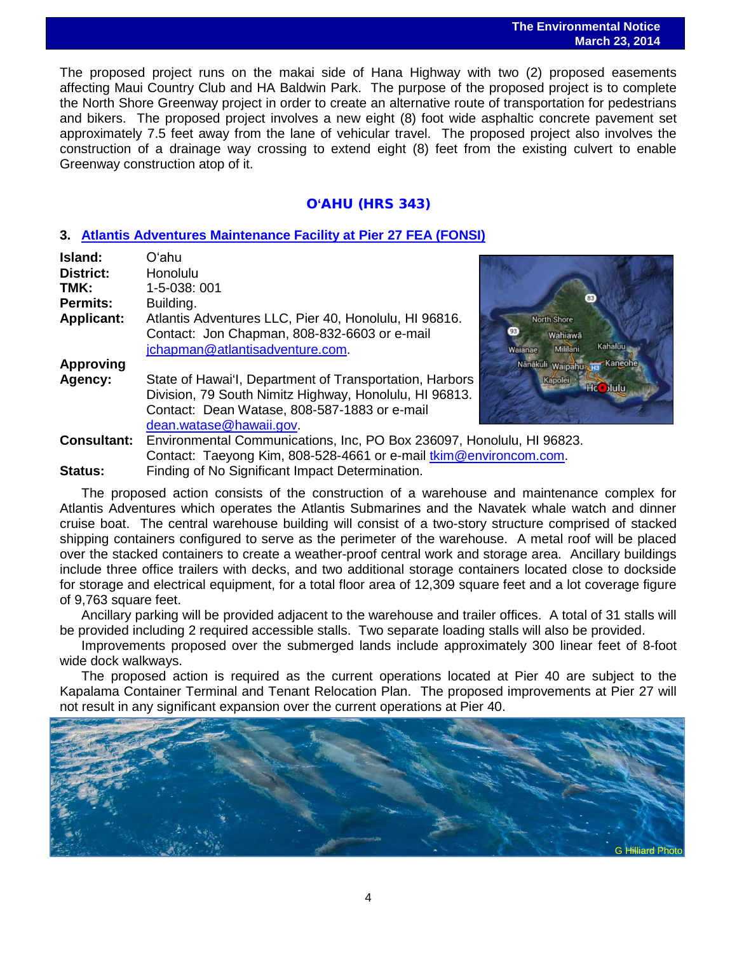#### **The Environmental Notice March 23, 2014**

The proposed project runs on the makai side of Hana Highway with two (2) proposed easements affecting Maui Country Club and HA Baldwin Park. The purpose of the proposed project is to complete the North Shore Greenway project in order to create an alternative route of transportation for pedestrians and bikers. The proposed project involves a new eight (8) foot wide asphaltic concrete pavement set approximately 7.5 feet away from the lane of vehicular travel. The proposed project also involves the construction of a drainage way crossing to extend eight (8) feet from the existing culvert to enable Greenway construction atop of it.

## O**'**AHU (HRS 343)

## **3. [Atlantis Adventures Maintenance Facility at Pier 27](http://oeqc.doh.hawaii.gov/Shared%20Documents/EA_and_EIS_Online_Library/Oahu/2010s/2014-03-23-OA-5E-FEA-Atlantis-Adventures-Maintenance-Facility-at-Pier-27.pdf) FEA (FONSI)**

| Island:            | Oʻahu                                                             |          |
|--------------------|-------------------------------------------------------------------|----------|
| District:          | Honolulu                                                          |          |
| TMK:               | 1-5-038: 001                                                      |          |
| <b>Permits:</b>    | Building.                                                         |          |
| <b>Applicant:</b>  | Atlantis Adventures LLC, Pier 40, Honolulu, HI 96816.             | North!   |
|                    | Contact: Jon Chapman, 808-832-6603 or e-mail                      | W        |
|                    | jchapman@atlantisadventure.com.                                   | Waianae  |
| <b>Approving</b>   |                                                                   | Nänäkuli |
| Agency:            | State of Hawai'l, Department of Transportation, Harbors           | Kap      |
|                    | Division, 79 South Nimitz Highway, Honolulu, HI 96813.            |          |
|                    | Contact: Dean Watase, 808-587-1883 or e-mail                      |          |
|                    | dean.watase@hawaii.gov                                            |          |
| <b>Consultant:</b> | Environmental Communications, Inc, PO Box 236097, Honolulu, HI 96 |          |
|                    |                                                                   |          |



**Consultant:** Environmental Communications, Inc, PO Box 236097, Honolulu, HI 96823. Contact: Taeyong Kim, 808-528-4661 or e-mail *tkim@environcom.com.* **Status:** Finding of No Significant Impact Determination.

The proposed action consists of the construction of a warehouse and maintenance complex for Atlantis Adventures which operates the Atlantis Submarines and the Navatek whale watch and dinner cruise boat. The central warehouse building will consist of a two-story structure comprised of stacked shipping containers configured to serve as the perimeter of the warehouse. A metal roof will be placed over the stacked containers to create a weather-proof central work and storage area. Ancillary buildings include three office trailers with decks, and two additional storage containers located close to dockside for storage and electrical equipment, for a total floor area of 12,309 square feet and a lot coverage figure of 9,763 square feet.

Ancillary parking will be provided adjacent to the warehouse and trailer offices. A total of 31 stalls will be provided including 2 required accessible stalls. Two separate loading stalls will also be provided.

Improvements proposed over the submerged lands include approximately 300 linear feet of 8-foot wide dock walkways.

The proposed action is required as the current operations located at Pier 40 are subject to the Kapalama Container Terminal and Tenant Relocation Plan. The proposed improvements at Pier 27 will not result in any significant expansion over the current operations at Pier 40.

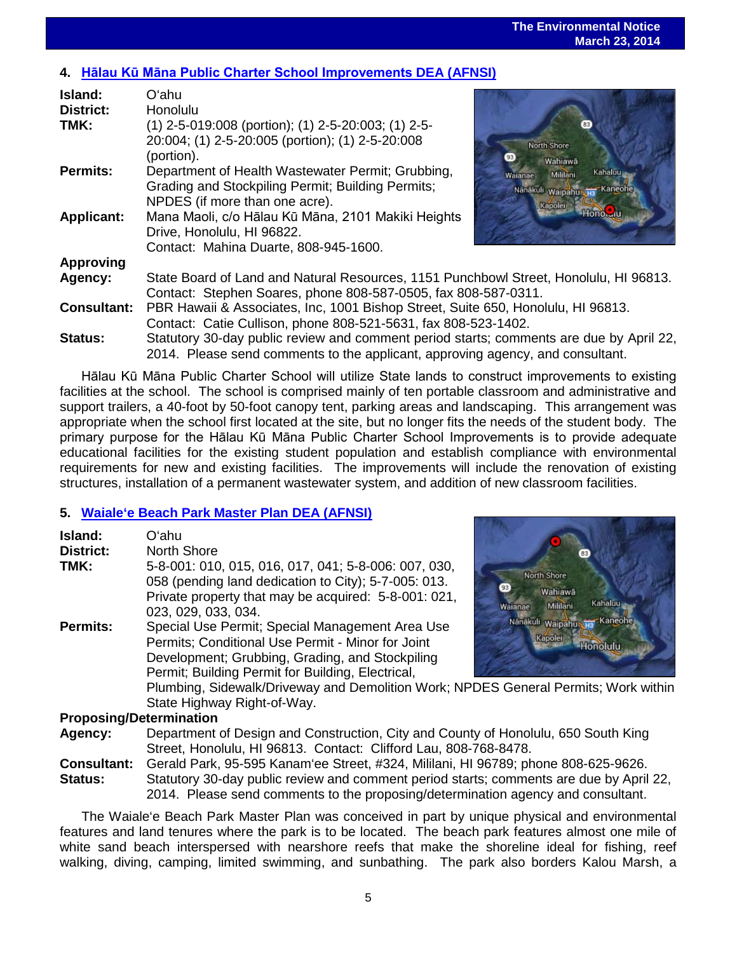#### **The Environmental Notice March 23, 2014**

## **4. [Hālau Kū Māna Public Charter School Improvements](http://oeqc.doh.hawaii.gov/Shared%20Documents/EA_and_EIS_Online_Library/Oahu/2010s/2014-03-23-OA-5E-DEA-Halau-Ku-Mana-Public-Charter-School-Improvements.pdf) DEA (AFNSI)**

| Island:            | Oʻahu                                                                                                                                                   |                                                                            |  |
|--------------------|---------------------------------------------------------------------------------------------------------------------------------------------------------|----------------------------------------------------------------------------|--|
| <b>District:</b>   | Honolulu                                                                                                                                                |                                                                            |  |
| TMK:               | (1) 2-5-019:008 (portion); (1) 2-5-20:003; (1) 2-5-<br>20:004; (1) 2-5-20:005 (portion); (1) 2-5-20:008<br>(portion).                                   | North Shore<br>Wahiawā                                                     |  |
| <b>Permits:</b>    | Department of Health Wastewater Permit; Grubbing,<br>Grading and Stockpiling Permit; Building Permits;<br>NPDES (if more than one acre).                | Kahaluu -<br>Mililani<br>Waianae<br>Nanakuli waipahu na Kaneohe<br>Kapolei |  |
| <b>Applicant:</b>  | Mana Maoli, c/o Hālau Kū Māna, 2101 Makiki Heights<br>Drive, Honolulu, HI 96822.<br>Contact: Mahina Duarte, 808-945-1600.                               | <b>Hono</b>                                                                |  |
| Approving          |                                                                                                                                                         |                                                                            |  |
| Agency:            | State Board of Land and Natural Resources, 1151 Punchbowl Street, Honolulu, HI 96813.<br>Contact: Stephen Soares, phone 808-587-0505, fax 808-587-0311. |                                                                            |  |
| <b>Consultant:</b> | PBR Hawaii & Associates, Inc, 1001 Bishop Street, Suite 650, Honolulu, HI 96813.<br>Contact: Catie Cullison, phone 808-521-5631, fax 808-523-1402.      |                                                                            |  |
| <b>Status:</b>     | Statutory 30-day public review and comment period starts; comments are due by April 22                                                                  |                                                                            |  |



## 50, Honolulu, HI 96813<mark>.</mark><br>-1402. comments are due by April 22, 2014. Please send comments to the applicant, approving agency, and consultant.

Hālau Kū Māna Public Charter School will utilize State lands to construct improvements to existing facilities at the school. The school is comprised mainly of ten portable classroom and administrative and support trailers, a 40-foot by 50-foot canopy tent, parking areas and landscaping. This arrangement was appropriate when the school first located at the site, but no longer fits the needs of the student body. The primary purpose for the Hālau Kū Māna Public Charter School Improvements is to provide adequate educational facilities for the existing student population and establish compliance with environmental requirements for new and existing facilities. The improvements will include the renovation of existing structures, installation of a permanent wastewater system, and addition of new classroom facilities.

## **5. [Waiale'e Beach Park Master Plan](http://oeqc.doh.hawaii.gov/Shared%20Documents/EA_and_EIS_Online_Library/Oahu/2010s/2014-03-23-OA-5B-DEA-Waialee-Beach-Park-Master-Plan.pdf) DEA (AFNSI)**

| <b>Island:</b><br><b>District:</b><br>TMK: | Oʻahu<br>North Shore<br>5-8-001: 010, 015, 016, 017, 041; 5-8-006: 007, 030,<br>058 (pending land dedication to City); 5-7-005: 013.<br>Private property that may be acquired: 5-8-001: 021,<br>023, 029, 033, 034.                                                                                                                                    | North Shore<br>Wahiawā<br><b>Kahaluu</b><br>Mililani<br>Waianae |  |
|--------------------------------------------|--------------------------------------------------------------------------------------------------------------------------------------------------------------------------------------------------------------------------------------------------------------------------------------------------------------------------------------------------------|-----------------------------------------------------------------|--|
| <b>Permits:</b>                            | Special Use Permit; Special Management Area Use<br>Permits; Conditional Use Permit - Minor for Joint<br>Development; Grubbing, Grading, and Stockpiling<br>Permit; Building Permit for Building, Electrical,<br>Plumbing, Sidewalk/Driveway and Demolition Work; NPDES General Permits; Work within<br>State Highway Right-of-Way.<br>$\sum_{i=1}^{n}$ | Nanakuli waipahu na Kaneohe<br>Kapolei<br><b>Honolulu</b>       |  |

## **Proposing/Determination**

**Agency:** Department of Design and Construction, City and County of Honolulu, 650 South King Street, Honolulu, HI 96813. Contact: Clifford Lau, 808-768-8478.

**Consultant:** Gerald Park, 95-595 Kanam'ee Street, #324, Mililani, HI 96789; phone 808-625-9626. **Status:** Statutory 30-day public review and comment period starts; comments are due by April 22, 2014. Please send comments to the proposing/determination agency and consultant.

The Waiale'e Beach Park Master Plan was conceived in part by unique physical and environmental features and land tenures where the park is to be located. The beach park features almost one mile of white sand beach interspersed with nearshore reefs that make the shoreline ideal for fishing, reef walking, diving, camping, limited swimming, and sunbathing. The park also borders Kalou Marsh, a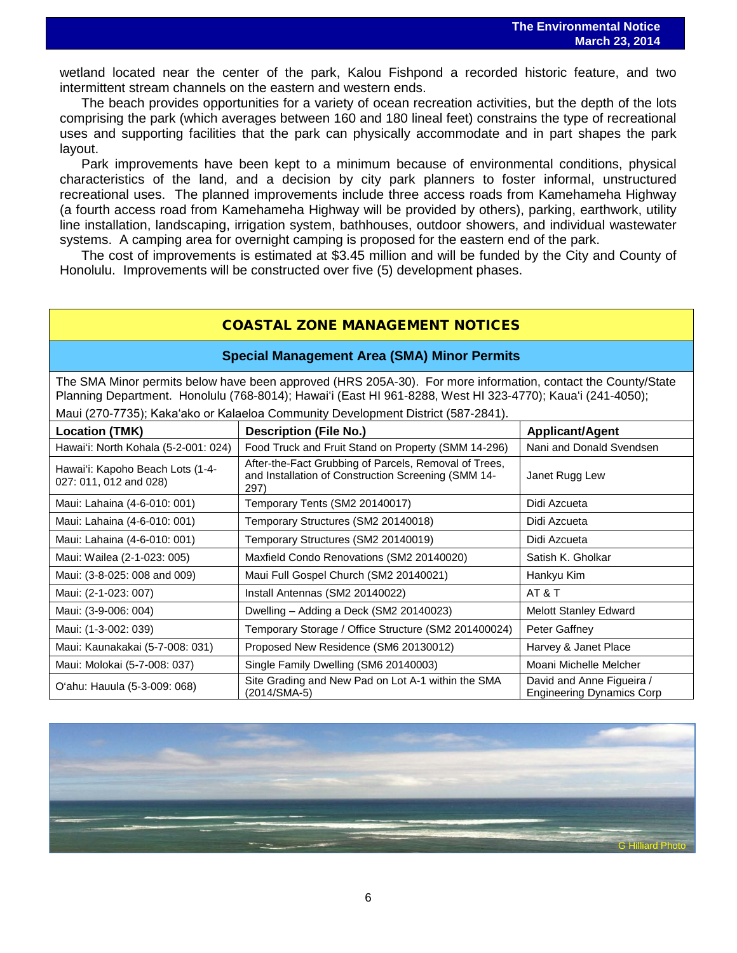wetland located near the center of the park, Kalou Fishpond a recorded historic feature, and two intermittent stream channels on the eastern and western ends.

The beach provides opportunities for a variety of ocean recreation activities, but the depth of the lots comprising the park (which averages between 160 and 180 lineal feet) constrains the type of recreational uses and supporting facilities that the park can physically accommodate and in part shapes the park layout.

Park improvements have been kept to a minimum because of environmental conditions, physical characteristics of the land, and a decision by city park planners to foster informal, unstructured recreational uses. The planned improvements include three access roads from Kamehameha Highway (a fourth access road from Kamehameha Highway will be provided by others), parking, earthwork, utility line installation, landscaping, irrigation system, bathhouses, outdoor showers, and individual wastewater systems. A camping area for overnight camping is proposed for the eastern end of the park.

The cost of improvements is estimated at \$3.45 million and will be funded by the City and County of Honolulu. Improvements will be constructed over five (5) development phases.

## COASTAL ZONE MANAGEMENT NOTICES

### **Special Management Area (SMA) Minor Permits**

The SMA Minor permits below have been approved (HRS 205A-30). For more information, contact the County/State Planning Department. Honolulu (768-8014); Hawaiʻi (East HI 961-8288, West HI 323-4770); Kauaʻi (241-4050); Maui (270-7735); Kakaʻako or Kalaeloa Community Development District (587-2841).

| ividui (270-770), Naka aku ur Naiaciua Cummunity Development District (307-2041). |                                                                                                                      |                                                               |  |  |
|-----------------------------------------------------------------------------------|----------------------------------------------------------------------------------------------------------------------|---------------------------------------------------------------|--|--|
| <b>Location (TMK)</b>                                                             | <b>Description (File No.)</b>                                                                                        | <b>Applicant/Agent</b>                                        |  |  |
| Hawai'i: North Kohala (5-2-001: 024)                                              | Food Truck and Fruit Stand on Property (SMM 14-296)                                                                  | Nani and Donald Svendsen                                      |  |  |
| Hawai'i: Kapoho Beach Lots (1-4-<br>027: 011, 012 and 028)                        | After-the-Fact Grubbing of Parcels, Removal of Trees,<br>and Installation of Construction Screening (SMM 14-<br>297) | Janet Rugg Lew                                                |  |  |
| Maui: Lahaina (4-6-010: 001)                                                      | Temporary Tents (SM2 20140017)                                                                                       | Didi Azcueta                                                  |  |  |
| Maui: Lahaina (4-6-010: 001)                                                      | Temporary Structures (SM2 20140018)                                                                                  | Didi Azcueta                                                  |  |  |
| Maui: Lahaina (4-6-010: 001)                                                      | Temporary Structures (SM2 20140019)                                                                                  | Didi Azcueta                                                  |  |  |
| Maui: Wailea (2-1-023: 005)                                                       | Maxfield Condo Renovations (SM2 20140020)                                                                            | Satish K. Gholkar                                             |  |  |
| Maui: (3-8-025: 008 and 009)                                                      | Maui Full Gospel Church (SM2 20140021)                                                                               | Hankyu Kim                                                    |  |  |
| Maui: (2-1-023: 007)                                                              | Install Antennas (SM2 20140022)                                                                                      | AT&T                                                          |  |  |
| Maui: (3-9-006: 004)                                                              | Dwelling - Adding a Deck (SM2 20140023)                                                                              | <b>Melott Stanley Edward</b>                                  |  |  |
| Maui: (1-3-002: 039)                                                              | Temporary Storage / Office Structure (SM2 201400024)                                                                 | Peter Gaffney                                                 |  |  |
| Maui: Kaunakakai (5-7-008: 031)                                                   | Proposed New Residence (SM6 20130012)                                                                                | Harvey & Janet Place                                          |  |  |
| Maui: Molokai (5-7-008: 037)                                                      | Single Family Dwelling (SM6 20140003)                                                                                | Moani Michelle Melcher                                        |  |  |
| O'ahu: Hauula (5-3-009: 068)                                                      | Site Grading and New Pad on Lot A-1 within the SMA<br>(2014/SMA-5)                                                   | David and Anne Figueira /<br><b>Engineering Dynamics Corp</b> |  |  |

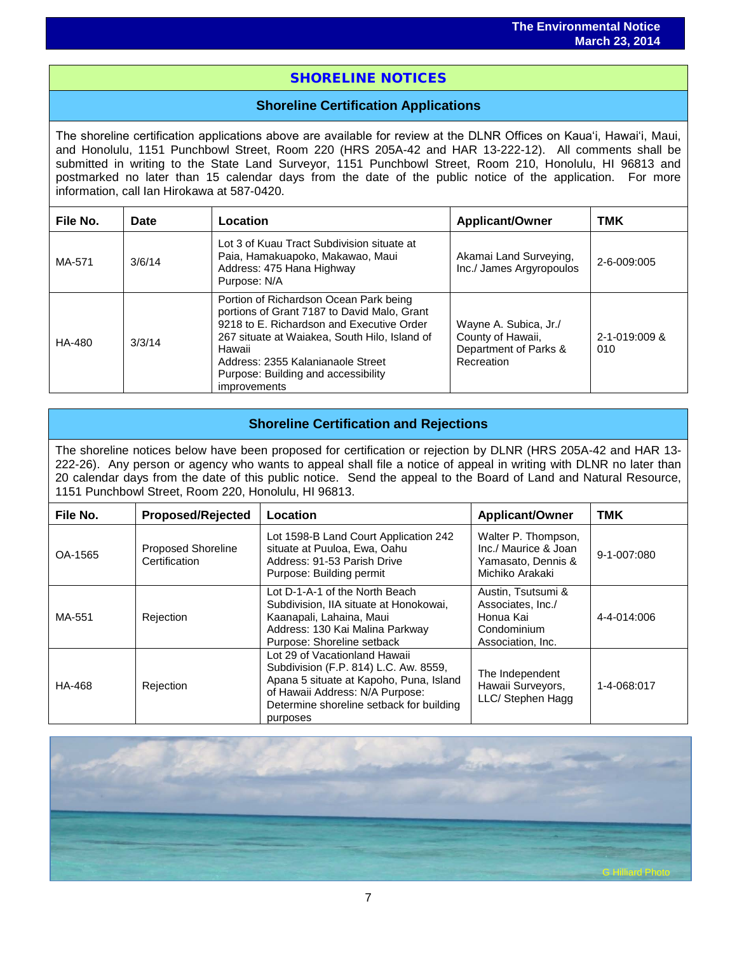## i<br>I SHORELINE NOTICES

## **Shoreline Certification Applications**

The shoreline certification applications above are available for review at the DLNR Offices on Kauaʻi, Hawaiʻi, Maui, and Honolulu, 1151 Punchbowl Street, Room 220 (HRS 205A-42 and HAR 13-222-12). All comments shall be submitted in writing to the State Land Surveyor, 1151 Punchbowl Street, Room 210, Honolulu, HI 96813 and postmarked no later than 15 calendar days from the date of the public notice of the application. For more information, call Ian Hirokawa at 587-0420.

| File No. | Date   | Location                                                                                                                                                                                                                                                                                         | <b>Applicant/Owner</b>                                                            | <b>TMK</b>           |
|----------|--------|--------------------------------------------------------------------------------------------------------------------------------------------------------------------------------------------------------------------------------------------------------------------------------------------------|-----------------------------------------------------------------------------------|----------------------|
| MA-571   | 3/6/14 | Lot 3 of Kuau Tract Subdivision situate at<br>Paia, Hamakuapoko, Makawao, Maui<br>Address: 475 Hana Highway<br>Purpose: N/A                                                                                                                                                                      | Akamai Land Surveying,<br>Inc./ James Argyropoulos                                | 2-6-009:005          |
| HA-480   | 3/3/14 | Portion of Richardson Ocean Park being<br>portions of Grant 7187 to David Malo, Grant<br>9218 to E. Richardson and Executive Order<br>267 situate at Waiakea, South Hilo, Island of<br>Hawaii<br>Address: 2355 Kalanianaole Street<br>Purpose: Building and accessibility<br><i>improvements</i> | Wayne A. Subica, Jr./<br>County of Hawaii,<br>Department of Parks &<br>Recreation | 2-1-019:009 &<br>010 |

## **Shoreline Certification and Rejections**

The shoreline notices below have been proposed for certification or rejection by DLNR (HRS 205A-42 and HAR 13- 222-26). Any person or agency who wants to appeal shall file a notice of appeal in writing with DLNR no later than 20 calendar days from the date of this public notice. Send the appeal to the Board of Land and Natural Resource, 1151 Punchbowl Street, Room 220, Honolulu, HI 96813.

| File No. | <b>Proposed/Rejected</b>                   | Location                                                                                                                                                                                                     | <b>Applicant/Owner</b>                                                                   | TMK               |
|----------|--------------------------------------------|--------------------------------------------------------------------------------------------------------------------------------------------------------------------------------------------------------------|------------------------------------------------------------------------------------------|-------------------|
| OA-1565  | <b>Proposed Shoreline</b><br>Certification | Lot 1598-B Land Court Application 242<br>situate at Puuloa, Ewa, Oahu<br>Address: 91-53 Parish Drive<br>Purpose: Building permit                                                                             | Walter P. Thompson,<br>Inc./ Maurice & Joan<br>Yamasato, Dennis &<br>Michiko Arakaki     | $9 - 1 - 007:080$ |
| MA-551   | Rejection                                  | Lot D-1-A-1 of the North Beach<br>Subdivision, IIA situate at Honokowai,<br>Kaanapali, Lahaina, Maui<br>Address: 130 Kai Malina Parkway<br>Purpose: Shoreline setback                                        | Austin, Tsutsumi &<br>Associates, Inc./<br>Honua Kai<br>Condominium<br>Association, Inc. | 4-4-014:006       |
| HA-468   | Rejection                                  | Lot 29 of Vacationland Hawaii<br>Subdivision (F.P. 814) L.C. Aw. 8559,<br>Apana 5 situate at Kapoho, Puna, Island<br>of Hawaii Address: N/A Purpose:<br>Determine shoreline setback for building<br>purposes | The Independent<br>Hawaii Surveyors,<br>LLC/ Stephen Hagg                                | 1-4-068:017       |

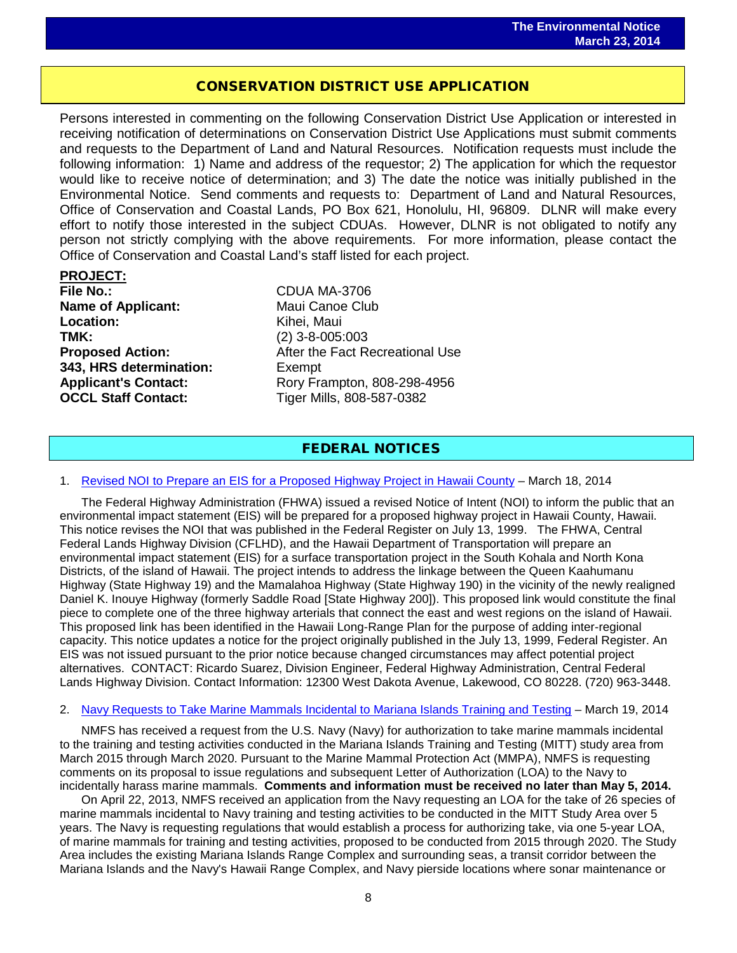## CONSERVATION DISTRICT USE APPLICATION

֖֖֖֖֖֖֖֖֖֖֧ׅ֖֧֦֧֚֚֚֚֚֚֚֚֚֚֚֚֚֚֚֚֚֚֚֬֝֝֓֞֡֝֓֞֡֡֬֓֞֡֞֡֞֡֞֡֞֡֞֞֡֞֬֝֓֞

Persons interested in commenting on the following Conservation District Use Application or interested in receiving notification of determinations on Conservation District Use Applications must submit comments and requests to the Department of Land and Natural Resources. Notification requests must include the following information: 1) Name and address of the requestor; 2) The application for which the requestor would like to receive notice of determination; and 3) The date the notice was initially published in the Environmental Notice. Send comments and requests to: Department of Land and Natural Resources, Office of Conservation and Coastal Lands, PO Box 621, Honolulu, HI, 96809. DLNR will make every effort to notify those interested in the subject CDUAs. However, DLNR is not obligated to notify any person not strictly complying with the above requirements. For more information, please contact the Office of Conservation and Coastal Land's staff listed for each project.

**PROJECT: Name of Applicant:** Maui Canoe Club **Location:** Kihei, Maui<br> **TMK:** (2) 3-8-005: **TMK:**<br> **Proposed Action:** (2) 3-8-005:003<br>
After the Fact R **343, HRS determination:** Exempt **OCCL Staff Contact:** Tiger Mills, 808-587-0382

**File No.:** CDUA MA-3706 **After the Fact Recreational Use** Applicant's Contact: Rory Frampton, 808-298-4956

## FEDERAL NOTICES

#### 1. [Revised NOI to Prepare an EIS for a Proposed Highway Project in Hawaii County](http://www.gpo.gov/fdsys/pkg/FR-2014-03-18/pdf/2014-05899.pdf) – March 18, 2014

The Federal Highway Administration (FHWA) issued a revised Notice of Intent (NOI) to inform the public that an environmental impact statement (EIS) will be prepared for a proposed highway project in Hawaii County, Hawaii. This notice revises the NOI that was published in the Federal Register on July 13, 1999. The FHWA, Central Federal Lands Highway Division (CFLHD), and the Hawaii Department of Transportation will prepare an environmental impact statement (EIS) for a surface transportation project in the South Kohala and North Kona Districts, of the island of Hawaii. The project intends to address the linkage between the Queen Kaahumanu Highway (State Highway 19) and the Mamalahoa Highway (State Highway 190) in the vicinity of the newly realigned Daniel K. Inouye Highway (formerly Saddle Road [State Highway 200]). This proposed link would constitute the final piece to complete one of the three highway arterials that connect the east and west regions on the island of Hawaii. This proposed link has been identified in the Hawaii Long-Range Plan for the purpose of adding inter-regional capacity. This notice updates a notice for the project originally published in the July 13, 1999, Federal Register. An EIS was not issued pursuant to the prior notice because changed circumstances may affect potential project alternatives. CONTACT: Ricardo Suarez, Division Engineer, Federal Highway Administration, Central Federal Lands Highway Division. Contact Information: 12300 West Dakota Avenue, Lakewood, CO 80228. (720) 963-3448.

#### 2. [Navy Requests to Take Marine Mammals Incidental to Mariana Islands Training and Testing](http://www.gpo.gov/fdsys/pkg/FR-2014-03-19/pdf/2014-05833.pdf) – March 19, 2014

NMFS has received a request from the U.S. Navy (Navy) for authorization to take marine mammals incidental to the training and testing activities conducted in the Mariana Islands Training and Testing (MITT) study area from March 2015 through March 2020. Pursuant to the Marine Mammal Protection Act (MMPA), NMFS is requesting comments on its proposal to issue regulations and subsequent Letter of Authorization (LOA) to the Navy to incidentally harass marine mammals. **Comments and information must be received no later than May 5, 2014.** 

On April 22, 2013, NMFS received an application from the Navy requesting an LOA for the take of 26 species of marine mammals incidental to Navy training and testing activities to be conducted in the MITT Study Area over 5 years. The Navy is requesting regulations that would establish a process for authorizing take, via one 5-year LOA, of marine mammals for training and testing activities, proposed to be conducted from 2015 through 2020. The Study Area includes the existing Mariana Islands Range Complex and surrounding seas, a transit corridor between the Mariana Islands and the Navy's Hawaii Range Complex, and Navy pierside locations where sonar maintenance or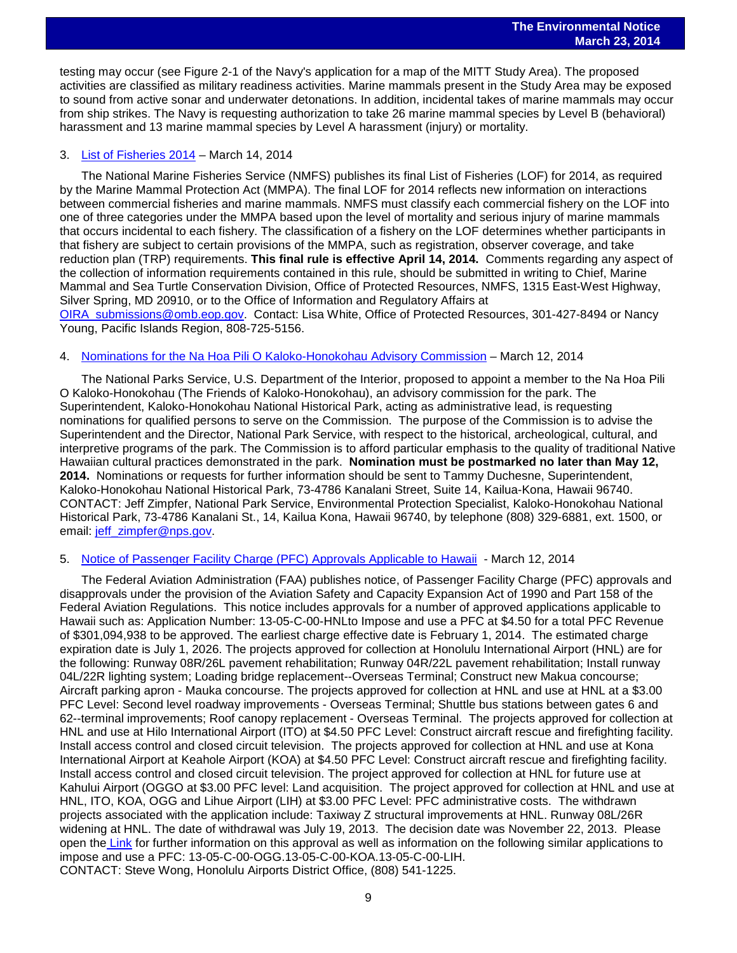testing may occur (see Figure 2-1 of the Navy's application for a map of the MITT Study Area). The proposed activities are classified as military readiness activities. Marine mammals present in the Study Area may be exposed to sound from active sonar and underwater detonations. In addition, incidental takes of marine mammals may occur from ship strikes. The Navy is requesting authorization to take 26 marine mammal species by Level B (behavioral) harassment and 13 marine mammal species by Level A harassment (injury) or mortality.

#### 3. [List of Fisheries 2014](http://www.gpo.gov/fdsys/pkg/FR-2014-03-14/pdf/2014-05576.pdf) – March 14, 2014

The National Marine Fisheries Service (NMFS) publishes its final List of Fisheries (LOF) for 2014, as required by the Marine Mammal Protection Act (MMPA). The final LOF for 2014 reflects new information on interactions between commercial fisheries and marine mammals. NMFS must classify each commercial fishery on the LOF into one of three categories under the MMPA based upon the level of mortality and serious injury of marine mammals that occurs incidental to each fishery. The classification of a fishery on the LOF determines whether participants in that fishery are subject to certain provisions of the MMPA, such as registration, observer coverage, and take reduction plan (TRP) requirements. **This final rule is effective April 14, 2014.** Comments regarding any aspect of the collection of information requirements contained in this rule, should be submitted in writing to Chief, Marine Mammal and Sea Turtle Conservation Division, Office of Protected Resources, NMFS, 1315 East-West Highway, Silver Spring, MD 20910, or to the Office of Information and Regulatory Affairs at [OIRA\\_submissions@omb.eop.gov.](mailto:OIRA_submissions@omb.eop.gov) Contact: Lisa White, Office of Protected Resources, 301-427-8494 or Nancy

Young, Pacific Islands Region, 808-725-5156.

#### 4. [Nominations for the Na Hoa Pili O Kaloko-Honokohau Advisory Commission](http://www.gpo.gov/fdsys/pkg/FR-2014-03-12/pdf/2014-05334.pdf) – March 12, 2014

The National Parks Service, U.S. Department of the Interior, proposed to appoint a member to the Na Hoa Pili O Kaloko-Honokohau (The Friends of Kaloko-Honokohau), an advisory commission for the park. The Superintendent, Kaloko-Honokohau National Historical Park, acting as administrative lead, is requesting nominations for qualified persons to serve on the Commission. The purpose of the Commission is to advise the Superintendent and the Director, National Park Service, with respect to the historical, archeological, cultural, and interpretive programs of the park. The Commission is to afford particular emphasis to the quality of traditional Native Hawaiian cultural practices demonstrated in the park. **Nomination must be postmarked no later than May 12, 2014.** Nominations or requests for further information should be sent to Tammy Duchesne, Superintendent, Kaloko-Honokohau National Historical Park, 73-4786 Kanalani Street, Suite 14, Kailua-Kona, Hawaii 96740. CONTACT: Jeff Zimpfer, National Park Service, Environmental Protection Specialist, Kaloko-Honokohau National Historical Park, 73-4786 Kanalani St., 14, Kailua Kona, Hawaii 96740, by telephone (808) 329-6881, ext. 1500, or email: [jeff\\_zimpfer@nps.gov.](mailto:jeff_zimpfer@nps.gov)

#### 5. [Notice of Passenger Facility Charge \(PFC\) Approvals Applicable to Hawaii](http://www.gpo.gov/fdsys/pkg/FR-2014-03-12/pdf/2014-05350.pdf) - March 12, 2014

The Federal Aviation Administration (FAA) publishes notice, of Passenger Facility Charge (PFC) approvals and disapprovals under the provision of the Aviation Safety and Capacity Expansion Act of 1990 and Part 158 of the Federal Aviation Regulations. This notice includes approvals for a number of approved applications applicable to Hawaii such as: Application Number: 13-05-C-00-HNLto Impose and use a PFC at \$4.50 for a total PFC Revenue of \$301,094,938 to be approved. The earliest charge effective date is February 1, 2014. The estimated charge expiration date is July 1, 2026. The projects approved for collection at Honolulu International Airport (HNL) are for the following: Runway 08R/26L pavement rehabilitation; Runway 04R/22L pavement rehabilitation; Install runway 04L/22R lighting system; Loading bridge replacement--Overseas Terminal; Construct new Makua concourse; Aircraft parking apron - Mauka concourse. The projects approved for collection at HNL and use at HNL at a \$3.00 PFC Level: Second level roadway improvements - Overseas Terminal; Shuttle bus stations between gates 6 and 62--terminal improvements; Roof canopy replacement - Overseas Terminal. The projects approved for collection at HNL and use at Hilo International Airport (ITO) at \$4.50 PFC Level: Construct aircraft rescue and firefighting facility. Install access control and closed circuit television. The projects approved for collection at HNL and use at Kona International Airport at Keahole Airport (KOA) at \$4.50 PFC Level: Construct aircraft rescue and firefighting facility. Install access control and closed circuit television. The project approved for collection at HNL for future use at Kahului Airport (OGGO at \$3.00 PFC level: Land acquisition. The project approved for collection at HNL and use at HNL, ITO, KOA, OGG and Lihue Airport (LIH) at \$3.00 PFC Level: PFC administrative costs. The withdrawn projects associated with the application include: Taxiway Z structural improvements at HNL. Runway 08L/26R widening at HNL. The date of withdrawal was July 19, 2013. The decision date was November 22, 2013. Please open the [Link](http://www.gpo.gov/fdsys/pkg/FR-2014-03-12/pdf/2014-05350.pdf) for further information on this approval as well as information on the following similar applications to impose and use a PFC: 13-05-C-00-OGG.13-05-C-00-KOA.13-05-C-00-LIH. CONTACT: Steve Wong, Honolulu Airports District Office, (808) 541-1225.